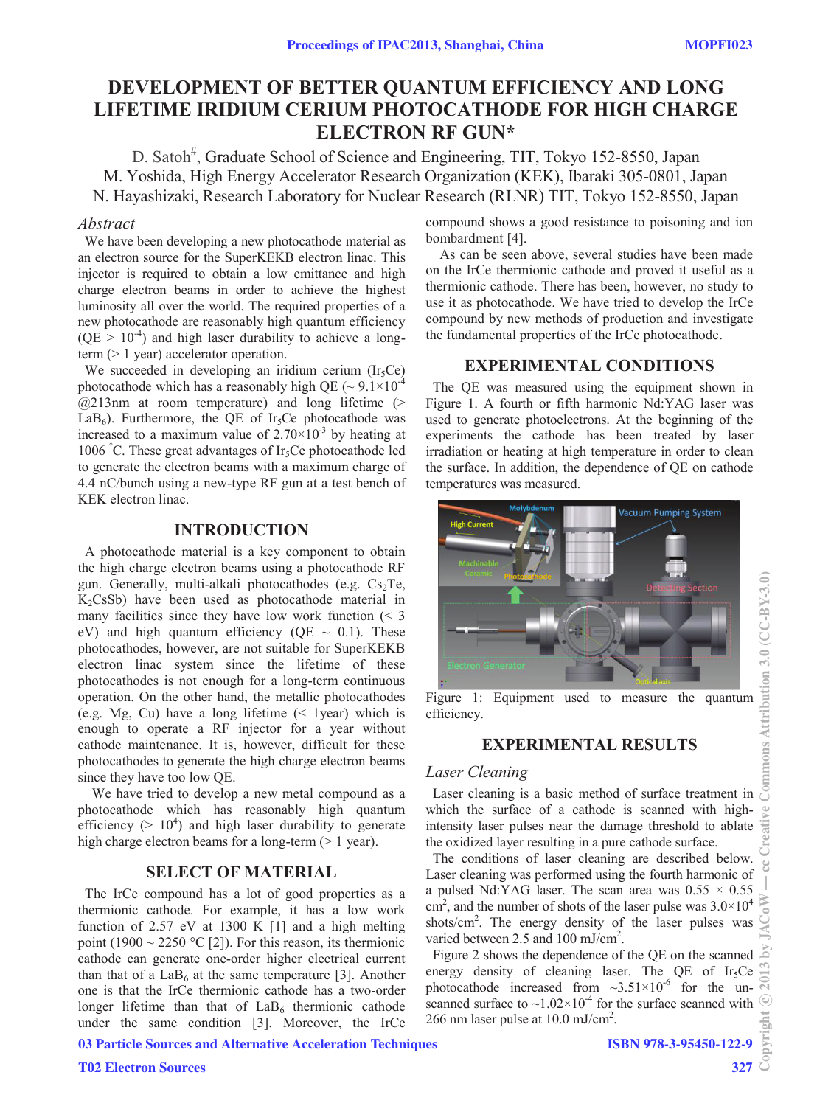# **DEVELOPMENT OF BETTER QUANTUM EFFICIENCY AND LONG LIFETIME IRIDIUM CERIUM PHOTOCATHODE FOR HIGH CHARGE ELECTRON RF GUN\***

D. Satoh<sup>#</sup>, Graduate School of Science and Engineering, TIT, Tokyo 152-8550, Japan M. Yoshida, High Energy Accelerator Research Organization (KEK), Ibaraki 305-0801, Japan N. Hayashizaki, Research Laboratory for Nuclear Research (RLNR) TIT, Tokyo 152-8550, Japan

#### *Abstract*

We have been developing a new photocathode material as an electron source for the SuperKEKB electron linac. This injector is required to obtain a low emittance and high charge electron beams in order to achieve the highest luminosity all over the world. The required properties of a new photocathode are reasonably high quantum efficiency  $(QE > 10^{-4})$  and high laser durability to achieve a longterm (> 1 year) accelerator operation.

We succeeded in developing an iridium cerium  $(Ir_5Ce)$ photocathode which has a reasonably high OE ( $\sim 9.1 \times 10^{-4}$ )  $@213nm$  at room temperature) and long lifetime (>  $LaB<sub>6</sub>$ ). Furthermore, the QE of Ir<sub>5</sub>Ce photocathode was increased to a maximum value of  $2.70\times10^{-3}$  by heating at 1006 °C. These great advantages of Ir<sub>5</sub>Ce photocathode led to generate the electron beams with a maximum charge of 4.4 nC/bunch using a new-type RF gun at a test bench of KEK electron linac.

# **INTRODUCTION**

A photocathode material is a key component to obtain the high charge electron beams using a photocathode RF gun. Generally, multi-alkali photocathodes (e.g.  $Cs<sub>2</sub>Te$ ,  $K<sub>2</sub>CsSb$ ) have been used as photocathode material in many facilities since they have low work function  $\leq 3$ eV) and high quantum efficiency (QE  $\sim$  0.1). These photocathodes, however, are not suitable for SuperKEKB electron linac system since the lifetime of these photocathodes is not enough for a long-term continuous operation. On the other hand, the metallic photocathodes (e.g. Mg, Cu) have a long lifetime (< 1year) which is enough to operate a RF injector for a year without cathode maintenance. It is, however, difficult for these photocathodes to generate the high charge electron beams since they have too low QE.

We have tried to develop a new metal compound as a photocathode which has reasonably high quantum efficiency ( $> 10<sup>4</sup>$ ) and high laser durability to generate high charge electron beams for a long-term ( $> 1$  year).

# **SELECT OF MATERIAL**

The IrCe compound has a lot of good properties as a thermionic cathode. For example, it has a low work function of 2.57 eV at 1300 K [1] and a high melting point (1900  $\sim$  2250 °C [2]). For this reason, its thermionic cathode can generate one-order higher electrical current than that of a  $LaB<sub>6</sub>$  at the same temperature [3]. Another one is that the IrCe thermionic cathode has a two-order longer lifetime than that of  $LaB<sub>6</sub>$  thermionic cathode under the same condition [3]. Moreover, the IrCe compound shows a good resistance to poisoning and ion bombardment [4].

As can be seen above, several studies have been made on the IrCe thermionic cathode and proved it useful as a thermionic cathode. There has been, however, no study to use it as photocathode. We have tried to develop the IrCe compound by new methods of production and investigate the fundamental properties of the IrCe photocathode.

### **EXPERIMENTAL CONDITIONS**

The QE was measured using the equipment shown in Figure 1. A fourth or fifth harmonic Nd:YAG laser was used to generate photoelectrons. At the beginning of the experiments the cathode has been treated by laser irradiation or heating at high temperature in order to clean the surface. In addition, the dependence of QE on cathode temperatures was measured.



Figure 1: Equipment used to measure the quantum efficiency.

# **EXPERIMENTAL RESULTS**

# *Laser Cleaning*

Laser cleaning is a basic method of surface treatment in which the surface of a cathode is scanned with highintensity laser pulses near the damage threshold to ablate the oxidized layer resulting in a pure cathode surface.

The conditions of laser cleaning are described below. Laser cleaning was performed using the fourth harmonic of a pulsed Nd:YAG laser. The scan area was  $0.55 \times 0.55$  $\text{cm}^2$ , and the number of shots of the laser pulse was 3.0×10<sup>4</sup> shots/cm<sup>2</sup>. The energy density of the laser pulses was varied between 2.5 and 100 mJ/cm<sup>2</sup>.

Figure 2 shows the dependence of the QE on the scanned energy density of cleaning laser. The QE of  $Ir<sub>5</sub>Ce$ photocathode increased from  $\sim 3.51 \times 10^{-6}$  for the unscanned surface to  $\sim$ 1.02×10<sup>-4</sup> for the surface scanned with 266 nm laser pulse at 10.0 mJ/cm<sup>2</sup>.

03 Particle Sources and Alternative Acceleration Techniques

327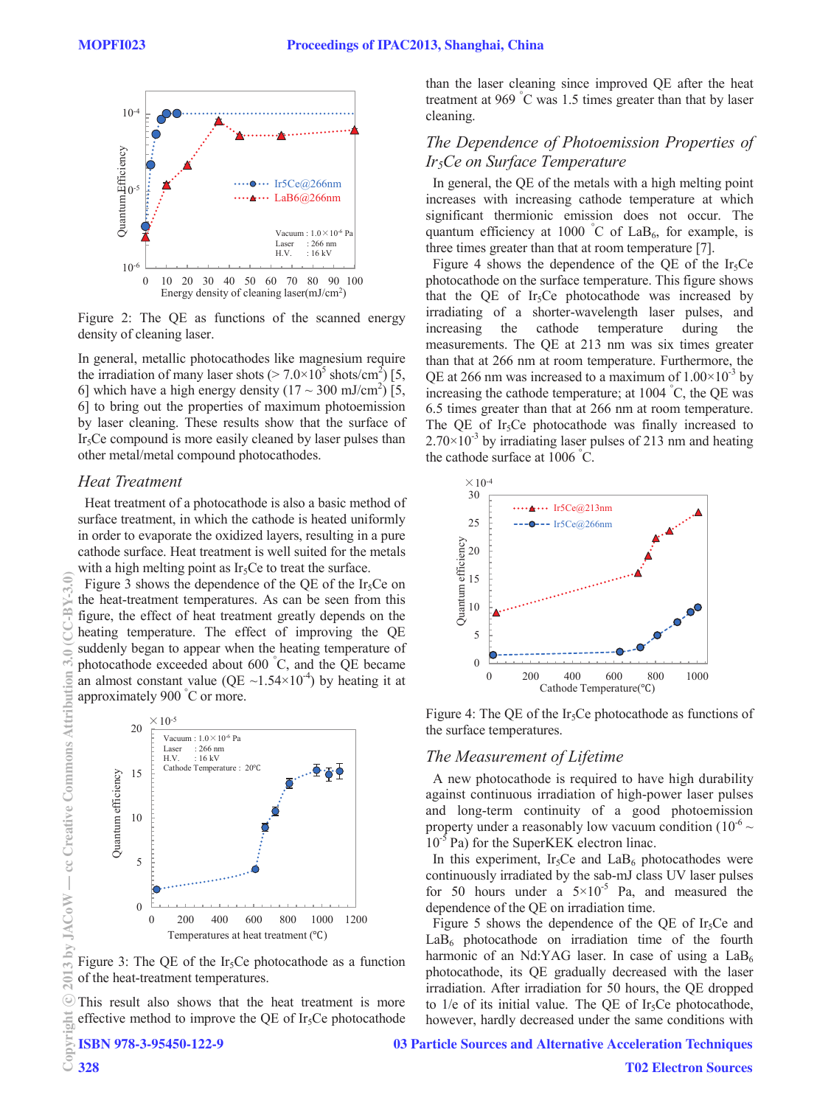

Figure 2: The QE as functions of the scanned energy density of cleaning laser.

In general, metallic photocathodes like magnesium require the irradiation of many laser shots ( $> 7.0 \times 10^5$  shots/cm<sup>2</sup>) [5, 6] which have a high energy density  $(17 \sim 300 \text{ mJ/cm}^2)$  [5, 6] to bring out the properties of maximum photoemission by laser cleaning. These results show that the surface of Ir5Ce compound is more easily cleaned by laser pulses than other metal/metal compound photocathodes.

# *Heat Treatment*

Heat treatment of a photocathode is also a basic method of surface treatment, in which the cathode is heated uniformly in order to evaporate the oxidized layers, resulting in a pure cathode surface. Heat treatment is well suited for the metals with a high melting point as  $Ir<sub>5</sub>Ce$  to treat the surface.

Figure 3 shows the dependence of the QE of the Ir<sub>5</sub>Ce on the heat-treatment temperatures. As can be seen from this figure, the effect of heat treatment greatly depends on the heating temperature. The effect of improving the QE suddenly began to appear when the heating temperature of photocathode exceeded about 600 ° C, and the QE became an almost constant value (QE  $\sim$ 1.54×10<sup>-4</sup>) by heating it at approximately 900 ° C or more.



Figure 3: The QE of the Ir<sub>5</sub>Ce photocathode as a function of the heat-treatment temperatures.

This result also shows that the heat treatment is more effective method to improve the OE of Ir<sub>5</sub>Ce photocathode

ISBN 978-3-95450-122-9

than the laser cleaning since improved QE after the heat treatment at 969 ° C was 1.5 times greater than that by laser cleaning.

# *The Dependence of Photoemission Properties of Ir5Ce on Surface Temperature*

In general, the QE of the metals with a high melting point increases with increasing cathode temperature at which significant thermionic emission does not occur. The quantum efficiency at 1000 °C of  $LaB_6$ , for example, is three times greater than that at room temperature [7].

Figure 4 shows the dependence of the QE of the Ir<sub>5</sub>Ce photocathode on the surface temperature. This figure shows that the QE of Ir<sub>5</sub>Ce photocathode was increased by irradiating of a shorter-wavelength laser pulses, and increasing the cathode temperature during the measurements. The QE at 213 nm was six times greater than that at 266 nm at room temperature. Furthermore, the QE at 266 nm was increased to a maximum of  $1.00\times10^{-3}$  by increasing the cathode temperature; at 1004 ° C, the QE was 6.5 times greater than that at 266 nm at room temperature. The QE of Ir<sub>5</sub>Ce photocathode was finally increased to  $2.70\times10^{-3}$  by irradiating laser pulses of 213 nm and heating the cathode surface at 1006 ° C.



Figure 4: The QE of the Ir<sub>5</sub>Ce photocathode as functions of the surface temperatures.

#### *The Measurement of Lifetime*

A new photocathode is required to have high durability against continuous irradiation of high-power laser pulses and long-term continuity of a good photoemission property under a reasonably low vacuum condition ( $10^{-6}$  ~ 10<sup>-5</sup> Pa) for the SuperKEK electron linac.

In this experiment, Ir<sub>5</sub>Ce and LaB<sub>6</sub> photocathodes were continuously irradiated by the sab-mJ class UV laser pulses for 50 hours under a  $5 \times 10^{-5}$  Pa, and measured the dependence of the QE on irradiation time.

Figure 5 shows the dependence of the QE of  $Ir<sub>5</sub>Ce$  and  $LaB<sub>6</sub>$  photocathode on irradiation time of the fourth harmonic of an Nd:YAG laser. In case of using a  $LaB<sub>6</sub>$ photocathode, its QE gradually decreased with the laser irradiation. After irradiation for 50 hours, the QE dropped to  $1/e$  of its initial value. The QE of Ir<sub>5</sub>Ce photocathode, however, hardly decreased under the same conditions with

 $C-$ B

**COM** ĭ

#### 03 Particle Sources and Alternative Acceleration Techniques